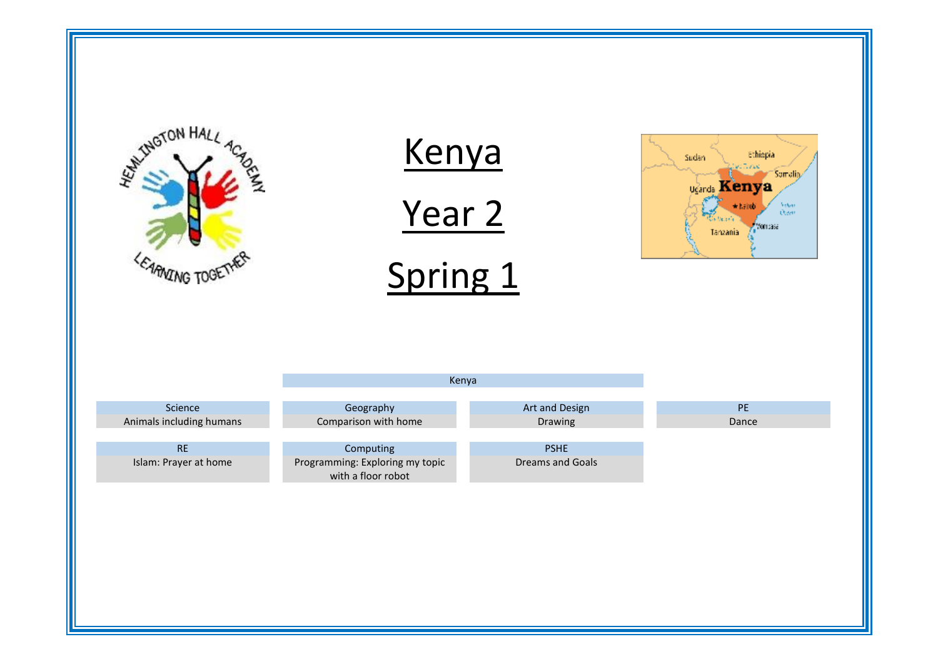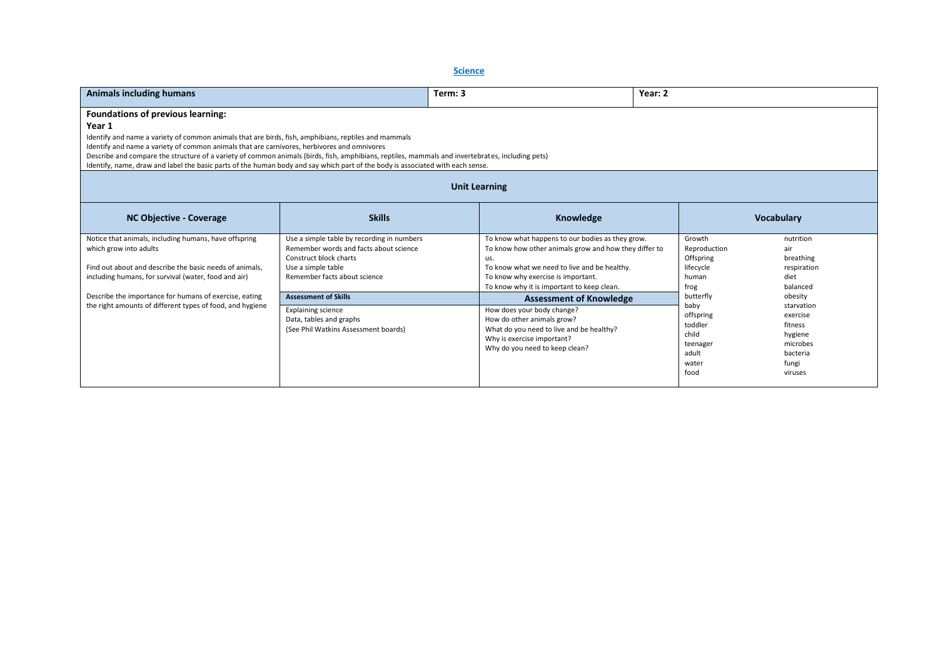**Science** 

| <b>Animals including humans</b>                                                                                                                                                                                                                                                                                                                                                                                                                                                                                                                 |                                                                                                                                                                      | Term: 3              |                                                                                                                                                                                                                                                      | Year: 2 |                                                                                          |                                                                                                     |
|-------------------------------------------------------------------------------------------------------------------------------------------------------------------------------------------------------------------------------------------------------------------------------------------------------------------------------------------------------------------------------------------------------------------------------------------------------------------------------------------------------------------------------------------------|----------------------------------------------------------------------------------------------------------------------------------------------------------------------|----------------------|------------------------------------------------------------------------------------------------------------------------------------------------------------------------------------------------------------------------------------------------------|---------|------------------------------------------------------------------------------------------|-----------------------------------------------------------------------------------------------------|
| <b>Foundations of previous learning:</b><br>Year 1<br>Identify and name a variety of common animals that are birds, fish, amphibians, reptiles and mammals<br>Identify and name a variety of common animals that are carnivores, herbivores and omnivores<br>Describe and compare the structure of a variety of common animals (birds, fish, amphibians, reptiles, mammals and invertebrates, including pets)<br>Identify, name, draw and label the basic parts of the human body and say which part of the body is associated with each sense. |                                                                                                                                                                      |                      |                                                                                                                                                                                                                                                      |         |                                                                                          |                                                                                                     |
|                                                                                                                                                                                                                                                                                                                                                                                                                                                                                                                                                 |                                                                                                                                                                      | <b>Unit Learning</b> |                                                                                                                                                                                                                                                      |         |                                                                                          |                                                                                                     |
| <b>NC Objective - Coverage</b>                                                                                                                                                                                                                                                                                                                                                                                                                                                                                                                  | <b>Skills</b>                                                                                                                                                        |                      | Knowledge                                                                                                                                                                                                                                            |         |                                                                                          | <b>Vocabulary</b>                                                                                   |
| Notice that animals, including humans, have offspring<br>which grow into adults<br>Find out about and describe the basic needs of animals,<br>including humans, for survival (water, food and air)                                                                                                                                                                                                                                                                                                                                              | Use a simple table by recording in numbers<br>Remember words and facts about science<br>Construct block charts<br>Use a simple table<br>Remember facts about science |                      | To know what happens to our bodies as they grow.<br>To know how other animals grow and how they differ to<br>us.<br>To know what we need to live and be healthy.<br>To know why exercise is important.<br>To know why it is important to keep clean. |         | Growth<br>Reproduction<br>Offspring<br>lifecycle<br>human<br>frog                        | nutrition<br>air<br>breathing<br>respiration<br>diet<br>balanced                                    |
| Describe the importance for humans of exercise, eating<br>the right amounts of different types of food, and hygiene                                                                                                                                                                                                                                                                                                                                                                                                                             | <b>Assessment of Skills</b><br><b>Explaining science</b><br>Data, tables and graphs<br>(See Phil Watkins Assessment boards)                                          |                      | <b>Assessment of Knowledge</b><br>How does your body change?<br>How do other animals grow?<br>What do you need to live and be healthy?<br>Why is exercise important?<br>Why do you need to keep clean?                                               |         | butterfly<br>baby<br>offspring<br>toddler<br>child<br>teenager<br>adult<br>water<br>food | obesity<br>starvation<br>exercise<br>fitness<br>hygiene<br>microbes<br>bacteria<br>fungi<br>viruses |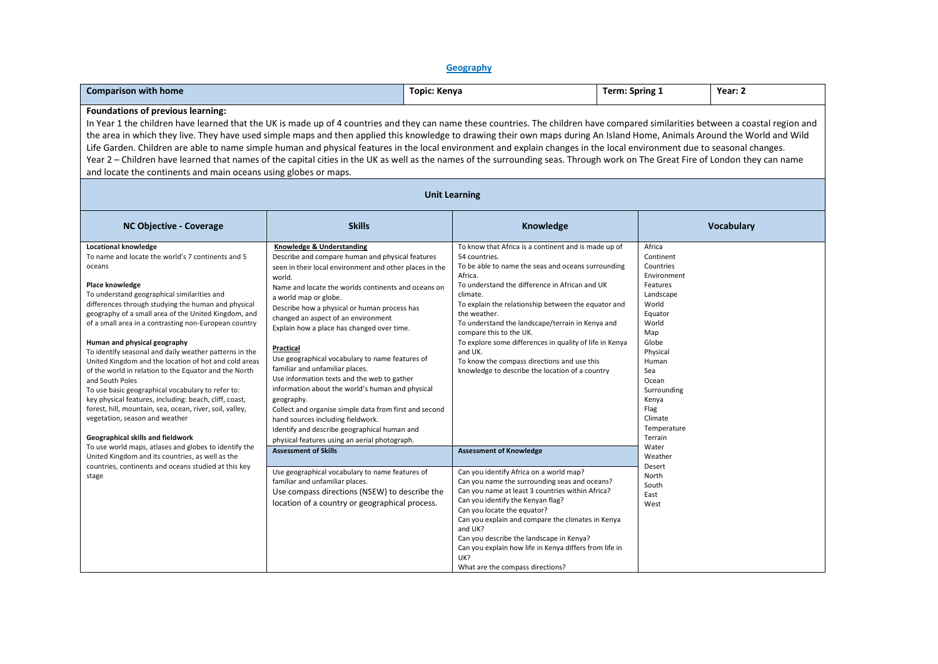## **Geography**

| <b>Comparison with home</b>                                                                                                                                                                                                                                                                                                                                                                                                                                                                                                                                                                                                                                                                                                                                                                                                           |                                                                                                                                                                                                                                                                                                                                                                                                                                                                                                                                                                                                                                                                                                                                                                                             | Topic: Kenya                                                                                                                                                                                                                                    |                                                                                                                                                                                                                                                                                                                                                                                                                                      | Term: Spring 1                                                                                                                                                                                                                  | Year: 2           |  |  |
|---------------------------------------------------------------------------------------------------------------------------------------------------------------------------------------------------------------------------------------------------------------------------------------------------------------------------------------------------------------------------------------------------------------------------------------------------------------------------------------------------------------------------------------------------------------------------------------------------------------------------------------------------------------------------------------------------------------------------------------------------------------------------------------------------------------------------------------|---------------------------------------------------------------------------------------------------------------------------------------------------------------------------------------------------------------------------------------------------------------------------------------------------------------------------------------------------------------------------------------------------------------------------------------------------------------------------------------------------------------------------------------------------------------------------------------------------------------------------------------------------------------------------------------------------------------------------------------------------------------------------------------------|-------------------------------------------------------------------------------------------------------------------------------------------------------------------------------------------------------------------------------------------------|--------------------------------------------------------------------------------------------------------------------------------------------------------------------------------------------------------------------------------------------------------------------------------------------------------------------------------------------------------------------------------------------------------------------------------------|---------------------------------------------------------------------------------------------------------------------------------------------------------------------------------------------------------------------------------|-------------------|--|--|
| Foundations of previous learning:<br>In Year 1 the children have learned that the UK is made up of 4 countries and they can name these countries. The children have compared similarities between a coastal region and<br>the area in which they live. They have used simple maps and then applied this knowledge to drawing their own maps during An Island Home, Animals Around the World and Wild<br>Life Garden. Children are able to name simple human and physical features in the local environment and explain changes in the local environment due to seasonal changes.<br>Year 2 - Children have learned that names of the capital cities in the UK as well as the names of the surrounding seas. Through work on The Great Fire of London they can name<br>and locate the continents and main oceans using globes or maps. |                                                                                                                                                                                                                                                                                                                                                                                                                                                                                                                                                                                                                                                                                                                                                                                             |                                                                                                                                                                                                                                                 |                                                                                                                                                                                                                                                                                                                                                                                                                                      |                                                                                                                                                                                                                                 |                   |  |  |
| <b>Unit Learning</b>                                                                                                                                                                                                                                                                                                                                                                                                                                                                                                                                                                                                                                                                                                                                                                                                                  |                                                                                                                                                                                                                                                                                                                                                                                                                                                                                                                                                                                                                                                                                                                                                                                             |                                                                                                                                                                                                                                                 |                                                                                                                                                                                                                                                                                                                                                                                                                                      |                                                                                                                                                                                                                                 |                   |  |  |
| <b>NC Objective - Coverage</b>                                                                                                                                                                                                                                                                                                                                                                                                                                                                                                                                                                                                                                                                                                                                                                                                        | <b>Skills</b>                                                                                                                                                                                                                                                                                                                                                                                                                                                                                                                                                                                                                                                                                                                                                                               |                                                                                                                                                                                                                                                 | Knowledge                                                                                                                                                                                                                                                                                                                                                                                                                            |                                                                                                                                                                                                                                 | <b>Vocabulary</b> |  |  |
| Locational knowledge<br>To name and locate the world's 7 continents and 5<br>oceans<br>Place knowledge<br>To understand geographical similarities and<br>differences through studying the human and physical<br>geography of a small area of the United Kingdom, and<br>of a small area in a contrasting non-European country<br>Human and physical geography<br>To identify seasonal and daily weather patterns in the<br>United Kingdom and the location of hot and cold areas<br>of the world in relation to the Equator and the North<br>and South Poles<br>To use basic geographical vocabulary to refer to:<br>key physical features, including: beach, cliff, coast,<br>forest, hill, mountain, sea, ocean, river, soil, valley,<br>vegetation, season and weather<br>Geographical skills and fieldwork                        | Knowledge & Understanding<br>Describe and compare human and physical features<br>seen in their local environment and other places in the<br>world.<br>Name and locate the worlds continents and oceans on<br>a world map or globe.<br>Describe how a physical or human process has<br>changed an aspect of an environment<br>Explain how a place has changed over time.<br>Practical<br>Use geographical vocabulary to name features of<br>familiar and unfamiliar places.<br>Use information texts and the web to gather<br>information about the world's human and physical<br>geography.<br>Collect and organise simple data from first and second<br>hand sources including fieldwork.<br>Identify and describe geographical human and<br>physical features using an aerial photograph. | 54 countries.<br>Africa.<br>climate.<br>the weather.<br>compare this to the UK.<br>and UK.                                                                                                                                                      | To know that Africa is a continent and is made up of<br>To be able to name the seas and oceans surrounding<br>To understand the difference in African and UK<br>To explain the relationship between the equator and<br>To understand the landscape/terrain in Kenya and<br>To explore some differences in quality of life in Kenya<br>To know the compass directions and use this<br>knowledge to describe the location of a country | Africa<br>Continent<br>Countries<br>Environment<br>Features<br>Landscape<br>World<br>Equator<br>World<br>Map<br>Globe<br>Physical<br>Human<br>Sea<br>Ocean<br>Surrounding<br>Kenya<br>Flag<br>Climate<br>Temperature<br>Terrain |                   |  |  |
| To use world maps, atlases and globes to identify the<br>United Kingdom and its countries, as well as the<br>countries, continents and oceans studied at this key<br>stage                                                                                                                                                                                                                                                                                                                                                                                                                                                                                                                                                                                                                                                            | <b>Assessment of Skills</b><br>Use geographical vocabulary to name features of<br>familiar and unfamiliar places.<br>Use compass directions (NSEW) to describe the<br>location of a country or geographical process.                                                                                                                                                                                                                                                                                                                                                                                                                                                                                                                                                                        | <b>Assessment of Knowledge</b><br>Can you identify Africa on a world map?<br>Can you identify the Kenyan flag?<br>Can you locate the equator?<br>and UK?<br>Can you describe the landscape in Kenya?<br>UK?<br>What are the compass directions? | Can you name the surrounding seas and oceans?<br>Can you name at least 3 countries within Africa?<br>Can you explain and compare the climates in Kenya<br>Can you explain how life in Kenya differs from life in                                                                                                                                                                                                                     | Water<br>Weather<br>Desert<br>North<br>South<br>East<br>West                                                                                                                                                                    |                   |  |  |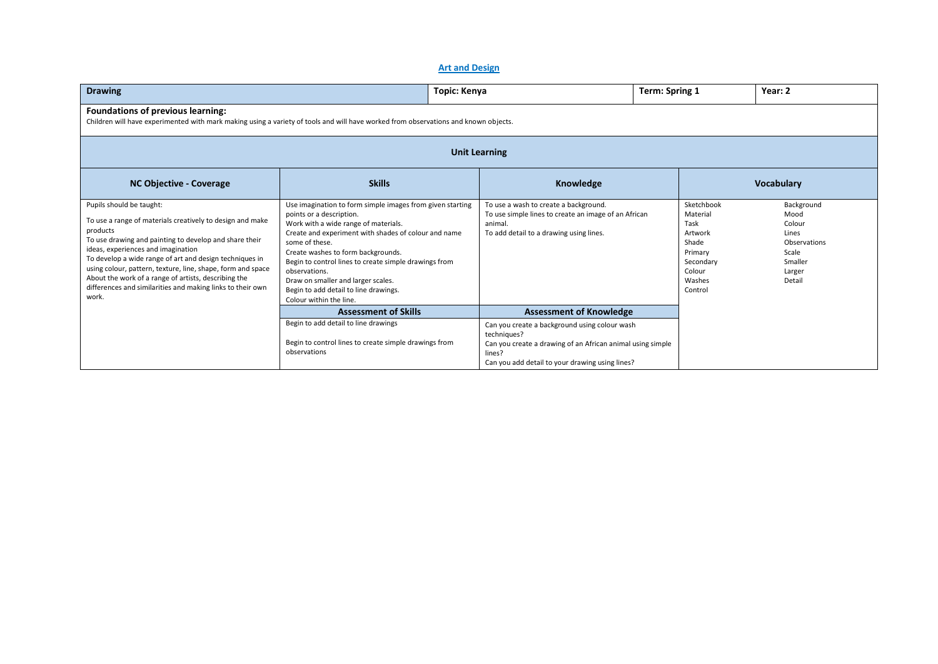## **Art and Design**

| <b>Drawing</b>                                                                                                                                                                                                                                                                                                                                                                                                                                             |                                                                                                                                                                                                                                                                                                                                                                                                                                   | Topic: Kenya                                                                                                                                                                            | Term: Spring 1                                                                                            | Year: 2                                                                                       |  |  |  |
|------------------------------------------------------------------------------------------------------------------------------------------------------------------------------------------------------------------------------------------------------------------------------------------------------------------------------------------------------------------------------------------------------------------------------------------------------------|-----------------------------------------------------------------------------------------------------------------------------------------------------------------------------------------------------------------------------------------------------------------------------------------------------------------------------------------------------------------------------------------------------------------------------------|-----------------------------------------------------------------------------------------------------------------------------------------------------------------------------------------|-----------------------------------------------------------------------------------------------------------|-----------------------------------------------------------------------------------------------|--|--|--|
| Foundations of previous learning:<br>Children will have experimented with mark making using a variety of tools and will have worked from observations and known objects.                                                                                                                                                                                                                                                                                   |                                                                                                                                                                                                                                                                                                                                                                                                                                   |                                                                                                                                                                                         |                                                                                                           |                                                                                               |  |  |  |
| <b>Unit Learning</b>                                                                                                                                                                                                                                                                                                                                                                                                                                       |                                                                                                                                                                                                                                                                                                                                                                                                                                   |                                                                                                                                                                                         |                                                                                                           |                                                                                               |  |  |  |
| <b>NC Objective - Coverage</b>                                                                                                                                                                                                                                                                                                                                                                                                                             | <b>Skills</b>                                                                                                                                                                                                                                                                                                                                                                                                                     | Knowledge                                                                                                                                                                               |                                                                                                           | <b>Vocabulary</b>                                                                             |  |  |  |
| Pupils should be taught:<br>To use a range of materials creatively to design and make<br>products<br>To use drawing and painting to develop and share their<br>ideas, experiences and imagination<br>To develop a wide range of art and design techniques in<br>using colour, pattern, texture, line, shape, form and space<br>About the work of a range of artists, describing the<br>differences and similarities and making links to their own<br>work. | Use imagination to form simple images from given starting<br>points or a description.<br>Work with a wide range of materials.<br>Create and experiment with shades of colour and name<br>some of these.<br>Create washes to form backgrounds.<br>Begin to control lines to create simple drawings from<br>observations.<br>Draw on smaller and larger scales.<br>Begin to add detail to line drawings.<br>Colour within the line. | To use a wash to create a background.<br>To use simple lines to create an image of an African<br>animal.<br>To add detail to a drawing using lines.                                     | Sketchbook<br>Material<br>Task<br>Artwork<br>Shade<br>Primary<br>Secondary<br>Colour<br>Washes<br>Control | Background<br>Mood<br>Colour<br>Lines<br>Observations<br>Scale<br>Smaller<br>Larger<br>Detail |  |  |  |
|                                                                                                                                                                                                                                                                                                                                                                                                                                                            | <b>Assessment of Skills</b>                                                                                                                                                                                                                                                                                                                                                                                                       | <b>Assessment of Knowledge</b>                                                                                                                                                          |                                                                                                           |                                                                                               |  |  |  |
|                                                                                                                                                                                                                                                                                                                                                                                                                                                            | Begin to add detail to line drawings<br>Begin to control lines to create simple drawings from<br>observations                                                                                                                                                                                                                                                                                                                     | Can you create a background using colour wash<br>techniques?<br>Can you create a drawing of an African animal using simple<br>lines?<br>Can you add detail to your drawing using lines? |                                                                                                           |                                                                                               |  |  |  |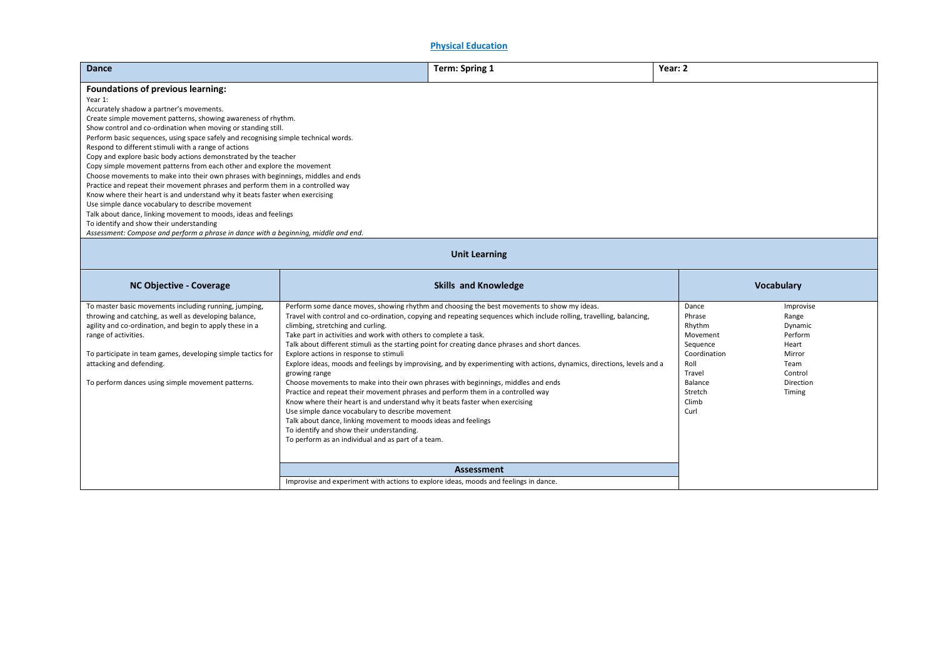**Physical Education**

| Dance                                                                                                                                                                                                                                                                                                                                                                                                                                                                                                                                                                                                                                                                                                                                                                                                                                                                                                        |                                                                                                                                                                                                                                                                                                                                                                                                                                                                                                                                                                                                                                                   | Term: Spring 1                                                                                                                                                                                                                                                                                                                                                                                                                                   | Year: 2                                                                                                                    |                                                                                                       |  |  |
|--------------------------------------------------------------------------------------------------------------------------------------------------------------------------------------------------------------------------------------------------------------------------------------------------------------------------------------------------------------------------------------------------------------------------------------------------------------------------------------------------------------------------------------------------------------------------------------------------------------------------------------------------------------------------------------------------------------------------------------------------------------------------------------------------------------------------------------------------------------------------------------------------------------|---------------------------------------------------------------------------------------------------------------------------------------------------------------------------------------------------------------------------------------------------------------------------------------------------------------------------------------------------------------------------------------------------------------------------------------------------------------------------------------------------------------------------------------------------------------------------------------------------------------------------------------------------|--------------------------------------------------------------------------------------------------------------------------------------------------------------------------------------------------------------------------------------------------------------------------------------------------------------------------------------------------------------------------------------------------------------------------------------------------|----------------------------------------------------------------------------------------------------------------------------|-------------------------------------------------------------------------------------------------------|--|--|
|                                                                                                                                                                                                                                                                                                                                                                                                                                                                                                                                                                                                                                                                                                                                                                                                                                                                                                              |                                                                                                                                                                                                                                                                                                                                                                                                                                                                                                                                                                                                                                                   |                                                                                                                                                                                                                                                                                                                                                                                                                                                  |                                                                                                                            |                                                                                                       |  |  |
| <b>Foundations of previous learning:</b><br>Year 1:<br>Accurately shadow a partner's movements.<br>Create simple movement patterns, showing awareness of rhythm.<br>Show control and co-ordination when moving or standing still.<br>Perform basic sequences, using space safely and recognising simple technical words.<br>Respond to different stimuli with a range of actions<br>Copy and explore basic body actions demonstrated by the teacher<br>Copy simple movement patterns from each other and explore the movement<br>Choose movements to make into their own phrases with beginnings, middles and ends<br>Practice and repeat their movement phrases and perform them in a controlled way<br>Know where their heart is and understand why it beats faster when exercising<br>Use simple dance vocabulary to describe movement<br>Talk about dance, linking movement to moods, ideas and feelings |                                                                                                                                                                                                                                                                                                                                                                                                                                                                                                                                                                                                                                                   |                                                                                                                                                                                                                                                                                                                                                                                                                                                  |                                                                                                                            |                                                                                                       |  |  |
| To identify and show their understanding<br>Assessment: Compose and perform a phrase in dance with a beginning, middle and end.                                                                                                                                                                                                                                                                                                                                                                                                                                                                                                                                                                                                                                                                                                                                                                              |                                                                                                                                                                                                                                                                                                                                                                                                                                                                                                                                                                                                                                                   |                                                                                                                                                                                                                                                                                                                                                                                                                                                  |                                                                                                                            |                                                                                                       |  |  |
| <b>Unit Learning</b>                                                                                                                                                                                                                                                                                                                                                                                                                                                                                                                                                                                                                                                                                                                                                                                                                                                                                         |                                                                                                                                                                                                                                                                                                                                                                                                                                                                                                                                                                                                                                                   |                                                                                                                                                                                                                                                                                                                                                                                                                                                  |                                                                                                                            |                                                                                                       |  |  |
| <b>NC Objective - Coverage</b>                                                                                                                                                                                                                                                                                                                                                                                                                                                                                                                                                                                                                                                                                                                                                                                                                                                                               |                                                                                                                                                                                                                                                                                                                                                                                                                                                                                                                                                                                                                                                   | <b>Skills and Knowledge</b>                                                                                                                                                                                                                                                                                                                                                                                                                      |                                                                                                                            | Vocabulary                                                                                            |  |  |
|                                                                                                                                                                                                                                                                                                                                                                                                                                                                                                                                                                                                                                                                                                                                                                                                                                                                                                              |                                                                                                                                                                                                                                                                                                                                                                                                                                                                                                                                                                                                                                                   |                                                                                                                                                                                                                                                                                                                                                                                                                                                  |                                                                                                                            |                                                                                                       |  |  |
| To master basic movements including running, jumping,<br>throwing and catching, as well as developing balance,<br>agility and co-ordination, and begin to apply these in a<br>range of activities.<br>To participate in team games, developing simple tactics for<br>attacking and defending.<br>To perform dances using simple movement patterns.                                                                                                                                                                                                                                                                                                                                                                                                                                                                                                                                                           | climbing, stretching and curling.<br>Take part in activities and work with others to complete a task.<br>Explore actions in response to stimuli<br>growing range<br>Choose movements to make into their own phrases with beginnings, middles and ends<br>Practice and repeat their movement phrases and perform them in a controlled way<br>Know where their heart is and understand why it beats faster when exercising<br>Use simple dance vocabulary to describe movement<br>Talk about dance, linking movement to moods ideas and feelings<br>To identify and show their understanding.<br>To perform as an individual and as part of a team. | Perform some dance moves, showing rhythm and choosing the best movements to show my ideas.<br>Travel with control and co-ordination, copying and repeating sequences which include rolling, travelling, balancing,<br>Talk about different stimuli as the starting point for creating dance phrases and short dances.<br>Explore ideas, moods and feelings by improvising, and by experimenting with actions, dynamics, directions, levels and a | Dance<br>Phrase<br>Rhythm<br>Movement<br>Sequence<br>Coordination<br>Roll<br>Travel<br>Balance<br>Stretch<br>Climb<br>Curl | Improvise<br>Range<br>Dynamic<br>Perform<br>Heart<br>Mirror<br>Team<br>Control<br>Direction<br>Timing |  |  |
|                                                                                                                                                                                                                                                                                                                                                                                                                                                                                                                                                                                                                                                                                                                                                                                                                                                                                                              | Improvise and experiment with actions to explore ideas, moods and feelings in dance.                                                                                                                                                                                                                                                                                                                                                                                                                                                                                                                                                              | Assessment                                                                                                                                                                                                                                                                                                                                                                                                                                       |                                                                                                                            |                                                                                                       |  |  |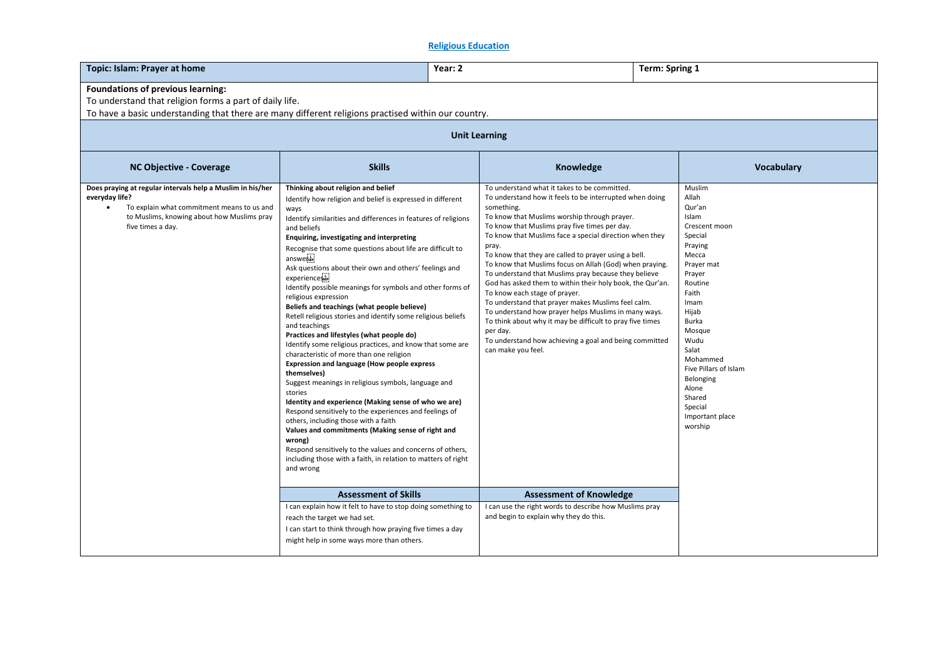## **Religious Education**

| Topic: Islam: Prayer at home<br>Year: 2                                                                                                                                                             |                                                                                                                                                                                                                                                                                                                                                                                                                                                                                                                                                                                                                                                                                                                                                                                                                                                                                                                                                                                                                                                                                                                                                                                                                                                                                    |                                                                                                                                                                                                                                                                                                                                                                                                                                                                                                                                                                                                                                                                                                                                                                                                                                            | Term: Spring 1                                                                                                                                                                                                                                                                                    |  |  |  |  |
|-----------------------------------------------------------------------------------------------------------------------------------------------------------------------------------------------------|------------------------------------------------------------------------------------------------------------------------------------------------------------------------------------------------------------------------------------------------------------------------------------------------------------------------------------------------------------------------------------------------------------------------------------------------------------------------------------------------------------------------------------------------------------------------------------------------------------------------------------------------------------------------------------------------------------------------------------------------------------------------------------------------------------------------------------------------------------------------------------------------------------------------------------------------------------------------------------------------------------------------------------------------------------------------------------------------------------------------------------------------------------------------------------------------------------------------------------------------------------------------------------|--------------------------------------------------------------------------------------------------------------------------------------------------------------------------------------------------------------------------------------------------------------------------------------------------------------------------------------------------------------------------------------------------------------------------------------------------------------------------------------------------------------------------------------------------------------------------------------------------------------------------------------------------------------------------------------------------------------------------------------------------------------------------------------------------------------------------------------------|---------------------------------------------------------------------------------------------------------------------------------------------------------------------------------------------------------------------------------------------------------------------------------------------------|--|--|--|--|
| Foundations of previous learning:<br>To understand that religion forms a part of daily life.<br>To have a basic understanding that there are many different religions practised within our country. |                                                                                                                                                                                                                                                                                                                                                                                                                                                                                                                                                                                                                                                                                                                                                                                                                                                                                                                                                                                                                                                                                                                                                                                                                                                                                    |                                                                                                                                                                                                                                                                                                                                                                                                                                                                                                                                                                                                                                                                                                                                                                                                                                            |                                                                                                                                                                                                                                                                                                   |  |  |  |  |
| <b>Unit Learning</b>                                                                                                                                                                                |                                                                                                                                                                                                                                                                                                                                                                                                                                                                                                                                                                                                                                                                                                                                                                                                                                                                                                                                                                                                                                                                                                                                                                                                                                                                                    |                                                                                                                                                                                                                                                                                                                                                                                                                                                                                                                                                                                                                                                                                                                                                                                                                                            |                                                                                                                                                                                                                                                                                                   |  |  |  |  |
| <b>NC Objective - Coverage</b>                                                                                                                                                                      | <b>Skills</b>                                                                                                                                                                                                                                                                                                                                                                                                                                                                                                                                                                                                                                                                                                                                                                                                                                                                                                                                                                                                                                                                                                                                                                                                                                                                      | Knowledge                                                                                                                                                                                                                                                                                                                                                                                                                                                                                                                                                                                                                                                                                                                                                                                                                                  | Vocabulary                                                                                                                                                                                                                                                                                        |  |  |  |  |
| Does praying at regular intervals help a Muslim in his/her<br>everyday life?<br>To explain what commitment means to us and<br>to Muslims, knowing about how Muslims pray<br>five times a day.       | Thinking about religion and belief<br>Identify how religion and belief is expressed in different<br>ways<br>Identify similarities and differences in features of religions<br>and beliefs<br>Enquiring, investigating and interpreting<br>Recognise that some questions about life are difficult to<br>answerser<br>Ask questions about their own and others' feelings and<br>experiencessie<br>Identify possible meanings for symbols and other forms of<br>religious expression<br>Beliefs and teachings (what people believe)<br>Retell religious stories and identify some religious beliefs<br>and teachings<br>Practices and lifestyles (what people do)<br>Identify some religious practices, and know that some are<br>characteristic of more than one religion<br><b>Expression and language (How people express</b><br>themselves)<br>Suggest meanings in religious symbols, language and<br>stories<br>Identity and experience (Making sense of who we are)<br>Respond sensitively to the experiences and feelings of<br>others, including those with a faith<br>Values and commitments (Making sense of right and<br>wrong)<br>Respond sensitively to the values and concerns of others,<br>including those with a faith, in relation to matters of right<br>and wrong | To understand what it takes to be committed.<br>To understand how it feels to be interrupted when doing<br>something.<br>To know that Muslims worship through prayer.<br>To know that Muslims pray five times per day.<br>To know that Muslims face a special direction when they<br>pray.<br>To know that they are called to prayer using a bell.<br>To know that Muslims focus on Allah (God) when praying.<br>To understand that Muslims pray because they believe<br>God has asked them to within their holy book, the Qur'an.<br>To know each stage of prayer.<br>To understand that prayer makes Muslims feel calm.<br>To understand how prayer helps Muslims in many ways.<br>To think about why it may be difficult to pray five times<br>per day.<br>To understand how achieving a goal and being committed<br>can make you feel. | Muslim<br>Allah<br>Qur'an<br>Islam<br>Crescent moon<br>Special<br>Praying<br>Mecca<br>Prayer mat<br>Prayer<br>Routine<br>Faith<br>Imam<br>Hijab<br>Burka<br>Mosque<br>Wudu<br>Salat<br>Mohammed<br>Five Pillars of Islam<br>Belonging<br>Alone<br>Shared<br>Special<br>Important place<br>worship |  |  |  |  |
|                                                                                                                                                                                                     | <b>Assessment of Skills</b>                                                                                                                                                                                                                                                                                                                                                                                                                                                                                                                                                                                                                                                                                                                                                                                                                                                                                                                                                                                                                                                                                                                                                                                                                                                        | <b>Assessment of Knowledge</b>                                                                                                                                                                                                                                                                                                                                                                                                                                                                                                                                                                                                                                                                                                                                                                                                             |                                                                                                                                                                                                                                                                                                   |  |  |  |  |
|                                                                                                                                                                                                     | I can explain how it felt to have to stop doing something to<br>reach the target we had set.<br>I can start to think through how praying five times a day<br>might help in some ways more than others.                                                                                                                                                                                                                                                                                                                                                                                                                                                                                                                                                                                                                                                                                                                                                                                                                                                                                                                                                                                                                                                                             | I can use the right words to describe how Muslims pray<br>and begin to explain why they do this.                                                                                                                                                                                                                                                                                                                                                                                                                                                                                                                                                                                                                                                                                                                                           |                                                                                                                                                                                                                                                                                                   |  |  |  |  |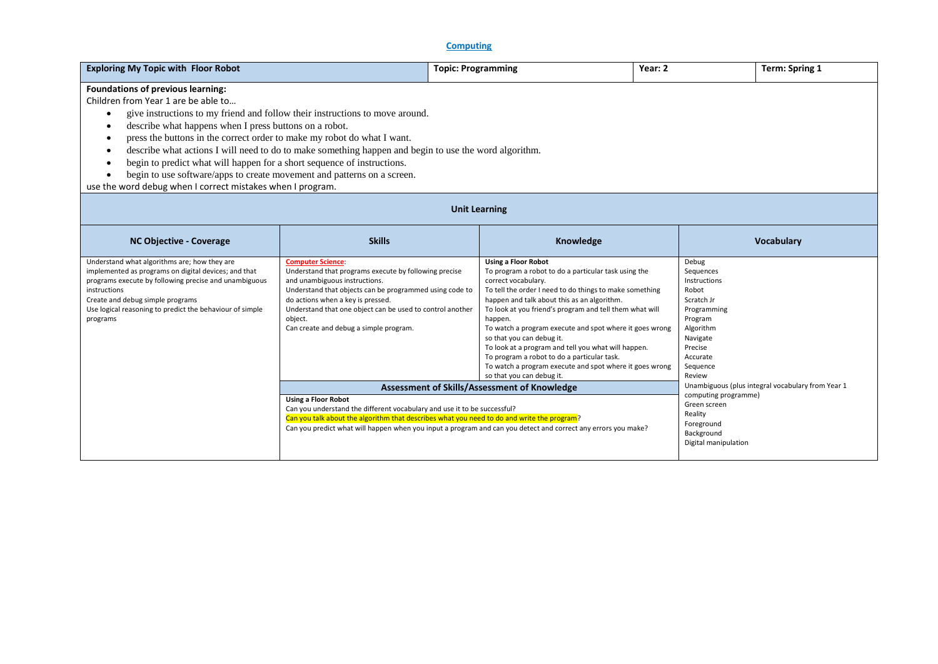## **Computing**

| <b>Exploring My Topic with Floor Robot</b>                                   |                                                                                                       | <b>Topic: Programming</b>                                                                              | Year: 2 |                       | Term: Spring 1    |  |  |  |
|------------------------------------------------------------------------------|-------------------------------------------------------------------------------------------------------|--------------------------------------------------------------------------------------------------------|---------|-----------------------|-------------------|--|--|--|
| Foundations of previous learning:                                            |                                                                                                       |                                                                                                        |         |                       |                   |  |  |  |
| Children from Year 1 are be able to                                          |                                                                                                       |                                                                                                        |         |                       |                   |  |  |  |
|                                                                              | give instructions to my friend and follow their instructions to move around.                          |                                                                                                        |         |                       |                   |  |  |  |
| describe what happens when I press buttons on a robot.                       |                                                                                                       |                                                                                                        |         |                       |                   |  |  |  |
| press the buttons in the correct order to make my robot do what I want.<br>٠ |                                                                                                       |                                                                                                        |         |                       |                   |  |  |  |
|                                                                              | describe what actions I will need to do to make something happen and begin to use the word algorithm. |                                                                                                        |         |                       |                   |  |  |  |
| begin to predict what will happen for a short sequence of instructions.<br>٠ |                                                                                                       |                                                                                                        |         |                       |                   |  |  |  |
| begin to use software/apps to create movement and patterns on a screen.      |                                                                                                       |                                                                                                        |         |                       |                   |  |  |  |
| use the word debug when I correct mistakes when I program.                   |                                                                                                       |                                                                                                        |         |                       |                   |  |  |  |
| <b>Unit Learning</b>                                                         |                                                                                                       |                                                                                                        |         |                       |                   |  |  |  |
| <b>NC Objective - Coverage</b>                                               | <b>Skills</b>                                                                                         | Knowledge                                                                                              |         |                       | <b>Vocabulary</b> |  |  |  |
| Understand what algorithms are; how they are                                 | <b>Computer Science:</b>                                                                              | <b>Using a Floor Robot</b>                                                                             |         | Debug                 |                   |  |  |  |
| implemented as programs on digital devices; and that                         | Understand that programs execute by following precise                                                 | To program a robot to do a particular task using the                                                   |         | Sequences             |                   |  |  |  |
| programs execute by following precise and unambiguous<br>instructions        | and unambiguous instructions.                                                                         | correct vocabulary.                                                                                    |         | Instructions<br>Robot |                   |  |  |  |
| Create and debug simple programs                                             | Understand that objects can be programmed using code to<br>do actions when a key is pressed.          | To tell the order I need to do things to make something<br>happen and talk about this as an algorithm. |         | Scratch Jr            |                   |  |  |  |
| Use logical reasoning to predict the behaviour of simple                     | Understand that one object can be used to control another                                             | To look at you friend's program and tell them what will                                                |         | Programming           |                   |  |  |  |
| programs                                                                     | object.                                                                                               | happen.                                                                                                |         | Program               |                   |  |  |  |
|                                                                              | Can create and debug a simple program.                                                                | To watch a program execute and spot where it goes wrong                                                |         | Algorithm             |                   |  |  |  |
|                                                                              |                                                                                                       | so that you can debug it.                                                                              |         | Navigate              |                   |  |  |  |

**Assessment of Skills/Assessment of Knowledge**

Can you predict what will happen when you input a program and can you detect and correct any errors you make?

Can you understand the different vocabulary and use it to be successful?

Can you talk about the algorithm that describes what you need to do and write the program?

**Using a Floor Robot**

To look at a program and tell you what will happen. To program a robot to do a particular task.

so that you can debug it.

To watch a program execute and spot where it goes wrong

Precise Accurate Sequence Review

computing programme) Green screen Reality Foreground Background Digital manipulation

Unambiguous (plus integral vocabulary from Year 1